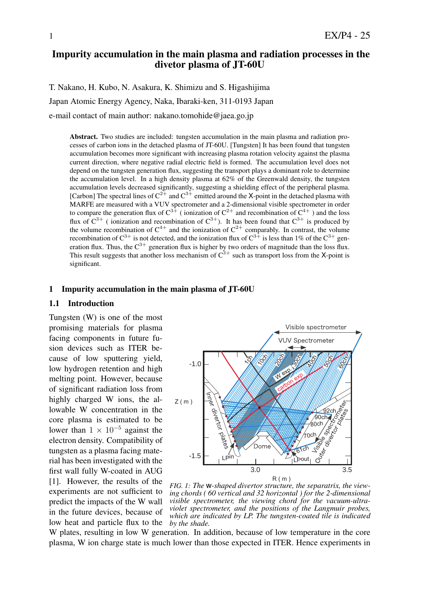# Impurity accumulation in the main plasma and radiation processes in the divetor plasma of JT-60U

T. Nakano, H. Kubo, N. Asakura, K. Shimizu and S. Higashijima

Japan Atomic Energy Agency, Naka, Ibaraki-ken, 311-0193 Japan

e-mail contact of main author: nakano.tomohide@jaea.go.jp

Abstract. Two studies are included: tungsten accumulation in the main plasma and radiation processes of carbon ions in the detached plasma of JT-60U. [Tungsten] It has been found that tungsten accumulation becomes more significant with increasing plasma rotation velocity against the plasma current direction, where negative radial electric field is formed. The accumulation level does not depend on the tungsten generation flux, suggesting the transport plays a dominant role to determine the accumulation level. In a high density plasma at 62% of the Greenwald density, the tungsten accumulation levels decreased significantly, suggesting a shielding effect of the peripheral plasma. [Carbon] The spectral lines of  $C^{2+}$  and  $C^{3+}$  emitted around the X-point in the detached plasma with MARFE are measured with a VUV spectrometer and a 2-dimensional visible spectrometer in order to compare the generation flux of  $C^{3+}$  (ionization of  $C^{2+}$  and recombination of  $C^{4+}$ ) and the loss flux of  $C^{3+}$  ( ionization and recombination of  $C^{3+}$ ). It has been found that  $C^{3+}$  is produced by the volume recombination of  $C^{4+}$  and the ionization of  $C^{2+}$  comparably. In contrast, the volume recombination of  $C^{3+}$  is not detected, and the ionization flux of  $C^{3+}$  is less than 1% of the  $C^{3+}$  generation flux. Thus, the  $C^{3+}$  generation flux is higher by two orders of magnitude than the loss flux. This result suggests that another loss mechanism of  $C^{3+}$  such as transport loss from the X-point is significant.

#### 1 Impurity accumulation in the main plasma of JT-60U

#### 1.1 Introduction

Tungsten (W) is one of the most promising materials for plasma facing components in future fusion devices such as ITER because of low sputtering yield, low hydrogen retention and high melting point. However, because of significant radiation loss from highly charged W ions, the allowable W concentration in the core plasma is estimated to be lower than  $1 \times 10^{-5}$  against the electron density. Compatibility of tungsten as a plasma facing material has been investigated with the first wall fully W-coated in AUG [1]. However, the results of the experiments are not sufficient to predict the impacts of the W wall in the future devices, because of low heat and particle flux to the



*FIG. 1: The* w*-shaped divertor structure, the separatrix, the viewing chords ( 60 vertical and 32 horizontal ) for the 2-dimensional visible spectrometer, the viewing chord for the vacuum-ultraviolet spectrometer, and the positions of the Langmuir probes, which are indicated by LP. The tungsten-coated tile is indicated by the shade.*

W plates, resulting in low W generation. In addition, because of low temperature in the core plasma, W ion charge state is much lower than those expected in ITER. Hence experiments in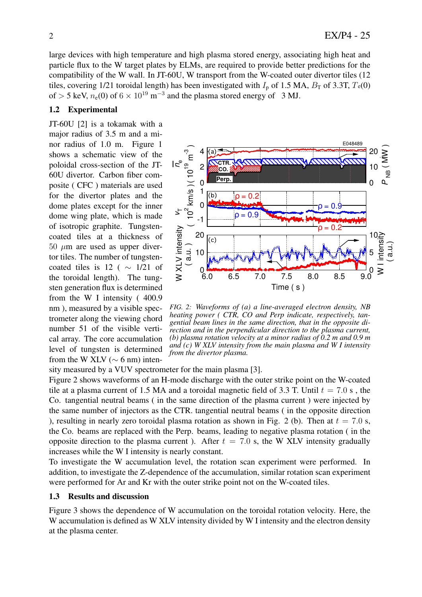large devices with high temperature and high plasma stored energy, associating high heat and particle flux to the W target plates by ELMs, are required to provide better predictions for the compatibility of the W wall. In JT-60U, W transport from the W-coated outer divertor tiles (12 tiles, covering 1/21 toroidal length) has been investigated with  $I_p$  of 1.5 MA,  $B_T$  of 3.3T,  $T_e(0)$ of  $>$  5 keV,  $n_e(0)$  of 6  $\times$  10<sup>19</sup> m<sup>-3</sup> and the plasma stored energy of 3 MJ.

# 1.2 Experimental

JT-60U [2] is a tokamak with a major radius of 3.5 m and a minor radius of 1.0 m. Figure 1 shows a schematic view of the poloidal cross-section of the JT-60U divertor. Carbon fiber composite ( CFC ) materials are used for the divertor plates and the dome plates except for the inner dome wing plate, which is made of isotropic graphite. Tungstencoated tiles at a thickness of  $50 \mu m$  are used as upper divertor tiles. The number of tungstencoated tiles is 12 ( *∼* 1/21 of the toroidal length). The tungsten generation flux is determined from the W I intensity ( 400.9 nm ), measured by a visible spectrometer along the viewing chord number 51 of the visible vertical array. The core accumulation level of tungsten is determined from the W XLV ( $\sim$  6 nm) inten-



*FIG. 2: Waveforms of (a) a line-averaged electron density, NB heating power ( CTR, CO and Perp indicate, respectively, tangential beam lines in the same direction, that in the opposite direction and in the perpendicular direction to the plasma current, (b) plasma rotation velocity at a minor radius of 0.2 m and 0.9 m and (c) W XLV intensity from the main plasma and W I intensity from the divertor plasma.*

sity measured by a VUV spectrometer for the main plasma [3].

Figure 2 shows waveforms of an H-mode discharge with the outer strike point on the W-coated tile at a plasma current of 1.5 MA and a toroidal magnetic field of 3.3 T. Until  $t = 7.0$  s, the Co. tangential neutral beams ( in the same direction of the plasma current ) were injected by the same number of injectors as the CTR. tangential neutral beams ( in the opposite direction ), resulting in nearly zero toroidal plasma rotation as shown in Fig. 2 (b). Then at  $t = 7.0$  s, the Co. beams are replaced with the Perp. beams, leading to negative plasma rotation ( in the opposite direction to the plasma current ). After  $t = 7.0$  s, the W XLV intensity gradually increases while the W I intensity is nearly constant.

To investigate the W accumulation level, the rotation scan experiment were performed. In addition, to investigate the Z-dependence of the accumulation, similar rotation scan experiment were performed for Ar and Kr with the outer strike point not on the W-coated tiles.

### 1.3 Results and discussion

Figure 3 shows the dependence of W accumulation on the toroidal rotation velocity. Here, the W accumulation is defined as W XLV intensity divided by W I intensity and the electron density at the plasma center.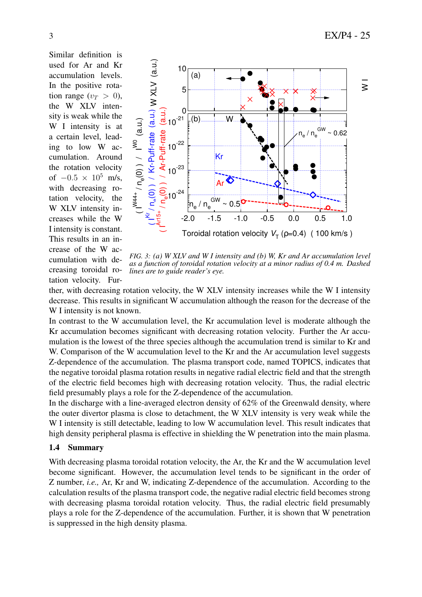Similar definition is used for Ar and Kr accumulation levels. In the positive rotation range  $(v_T > 0)$ , the W XLV intensity is weak while the W I intensity is at a certain level, leading to low W accumulation. Around the rotation velocity of *<sup>−</sup>*0*.*<sup>5</sup> *<sup>×</sup>* <sup>10</sup><sup>5</sup> m/s, with decreasing rotation velocity, the W XLV intensity increases while the W I intensity is constant. This results in an increase of the W accumulation with decreasing toroidal rotation velocity. Fur-



*FIG. 3: (a) W XLV and W I intensity and (b) W, Kr and Ar accumulation level as a function of toroidal rotation velocity at a minor radius of 0.4 m. Dashed lines are to guide reader's eye.*

ther, with decreasing rotation velocity, the W XLV intensity increases while the W I intensity decrease. This results in significant W accumulation although the reason for the decrease of the W I intensity is not known.

In contrast to the W accumulation level, the Kr accumulation level is moderate although the Kr accumulation becomes significant with decreasing rotation velocity. Further the Ar accumulation is the lowest of the three species although the accumulation trend is similar to Kr and W. Comparison of the W accumulation level to the Kr and the Ar accumulation level suggests Z-dependence of the accumulation. The plasma transport code, named TOPICS, indicates that the negative toroidal plasma rotation results in negative radial electric field and that the strength of the electric field becomes high with decreasing rotation velocity. Thus, the radial electric field presumably plays a role for the Z-dependence of the accumulation.

In the discharge with a line-averaged electron density of 62% of the Greenwald density, where the outer divertor plasma is close to detachment, the W XLV intensity is very weak while the W I intensity is still detectable, leading to low W accumulation level. This result indicates that high density peripheral plasma is effective in shielding the W penetration into the main plasma.

# 1.4 Summary

With decreasing plasma toroidal rotation velocity, the Ar, the Kr and the W accumulation level become significant. However, the accumulation level tends to be significant in the order of Z number, *i.e.,* Ar, Kr and W, indicating Z-dependence of the accumulation. According to the calculation results of the plasma transport code, the negative radial electric field becomes strong with decreasing plasma toroidal rotation velocity. Thus, the radial electric field presumably plays a role for the Z-dependence of the accumulation. Further, it is shown that W penetration is suppressed in the high density plasma.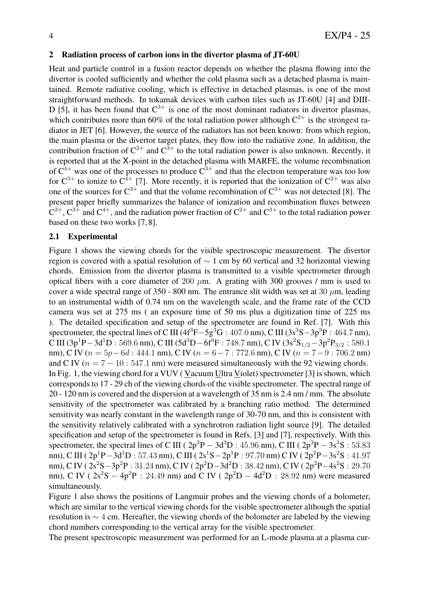## 2 Radiation process of carbon ions in the divertor plasma of JT-60U

Heat and particle control in a fusion reactor depends on whether the plasma flowing into the divertor is cooled sufficiently and whether the cold plasma such as a detached plasma is maintained. Remote radiative cooling, which is effective in detached plasmas, is one of the most straightforward methods. In tokamak devices with carbon tiles such as JT-60U [4] and DIII-D [5], it has been found that  $C^{3+}$  is one of the most dominant radiators in divertor plasmas, which contributes more than 60% of the total radiation power although  $C^{2+}$  is the strongest radiator in JET [6]. However, the source of the radiators has not been known: from which region, the main plasma or the divertor target plates, they flow into the radiative zone. In addition, the contribution fraction of  $C^{2+}$  and  $C^{3+}$  to the total radiation power is also unknown. Recently, it is reported that at the X-point in the detached plasma with MARFE, the volume recombination of  $C^{4+}$  was one of the processes to produce  $C^{3+}$  and that the electron temperature was too low for  $C^{3+}$  to ionize to  $C^{4+}$  [7]. More recently, it is reported that the ionization of  $C^{2+}$  was also one of the sources for  $C^{3+}$  and that the volume recombination of  $C^{3+}$  was not detected [8]. The present paper briefly summarizes the balance of ionization and recombination fluxes between  $C^{2+}$ ,  $C^{3+}$  and  $C^{4+}$ , and the radiation power fraction of  $C^{2+}$  and  $C^{3+}$  to the total radiation power based on these two works [7, 8].

## 2.1 Experimental

Figure 1 shows the viewing chords for the visible spectroscopic measurement. The divertor region is covered with a spatial resolution of *∼* 1 cm by 60 vertical and 32 horizontal viewing chords. Emission from the divertor plasma is transmitted to a visible spectrometer through optical fibers with a core diameter of 200 *µ*m. A grating with 300 grooves / mm is used to cover a wide spectral range of  $350 - 800$  nm. The entrance slit width was set at  $30 \mu m$ , leading to an instrumental width of 0.74 nm on the wavelength scale, and the frame rate of the CCD camera was set at 275 ms ( an exposure time of 50 ms plus a digitization time of 225 ms ). The detailed specification and setup of the spectrometer are found in Ref. [7]. With this spectrometer, the spectral lines of C III ( $4f^3F - 5g^3G : 407.0$  nm), C III ( $3s^3S - 3p^3P : 464.7$  nm),  $C \text{ III } (3p^1P - 3d^1D : 569.6 \text{ nm}), C \text{ III } (5d^3D - 6f^3F : 748.7 \text{ nm}), C \text{ IV } (3s^2S_{1/2} - 3p^2P_{3/2} : 580.12)$ nm), C IV (*n* = 5*p−*6*d* : 444*.*1 nm), C IV (*n* = 6*−*7 : 772*.*6 nm), C IV (*n* = 7*−*9 : 706*.*2 nm) and C IV ( $n = 7 - 10$ : 547.1 nm) were measured simultaneously with the 92 viewing chords. In Fig. 1, the viewing chord for a VUV ( Vacuum Ultra Violet) spectrometer [3] is shown, which corresponds to 17 - 29 ch of the viewing chords of the visible spectrometer. The spectral range of 20 - 120 nm is covered and the dispersion at a wavelength of 35 nm is 2.4 nm / mm. The absolute sensitivity of the spectrometer was calibrated by a branching ratio method. The determined sensitivity was nearly constant in the wavelength range of 30-70 nm, and this is consistent with the sensitivity relatively calibrated with a synchrotron radiation light source [9]. The detailed specification and setup of the spectrometer is found in Refs. [3] and [7], respectively. With this spectrometer, the spectral lines of C III ( $2p^{3}P - 3d^{3}D$ : 45.96 nm), C III ( $2p^{3}P - 3s^{3}S$ : 53.83 nm), C III ( 2p<sup>1</sup>P – 3d<sup>1</sup>D : 57.43 nm), C III ( 2s<sup>1</sup>S – 2p<sup>1</sup>P : 97.70 nm) C IV ( 2p<sup>2</sup>P – 3s<sup>2</sup>S : 41.97 nm), C IV ( 2s<sup>2</sup>S-3p<sup>2</sup>P : 31.24 nm), C IV ( 2p<sup>2</sup>D-3d<sup>2</sup>D : 38.42 nm), C IV ( 2p<sup>2</sup>P-4s<sup>2</sup>S : 29.70 nm), C IV (  $2s^2S - 4p^2P$  : 24.49 nm) and C IV (  $2p^2D - 4d^2D$  : 28.92 nm) were measured simultaneously.

Figure 1 also shows the positions of Langmuir probes and the viewing chords of a bolometer, which are similar to the vertical viewing chords for the visible spectrometer although the spatial resolution is *∼* 4 cm. Hereafter, the viewing chords of the bolometer are labeled by the viewing chord numbers corresponding to the vertical array for the visible spectrometer.

The present spectroscopic measurement was performed for an L-mode plasma at a plasma cur-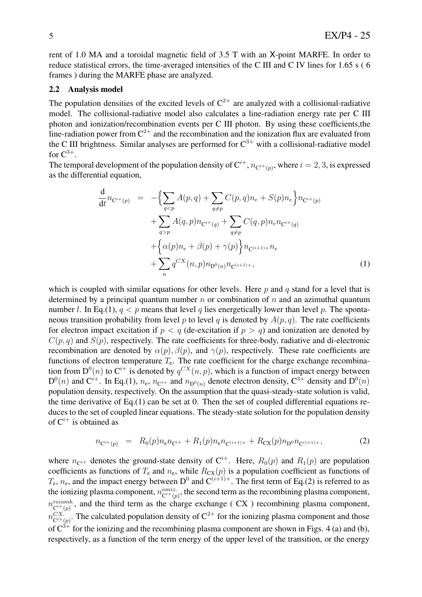rent of 1.0 MA and a toroidal magnetic field of 3.5 T with an X-point MARFE. In order to reduce statistical errors, the time-averaged intensities of the C III and C IV lines for 1.65 s ( 6 frames ) during the MARFE phase are analyzed.

### 2.2 Analysis model

The population densities of the excited levels of  $C^{2+}$  are analyzed with a collisional-radiative model. The collisional-radiative model also calculates a line-radiation energy rate per C III photon and ionization/recombination events per C III photon. By using these coefficients,the line-radiation power from  $C^{2+}$  and the recombination and the ionization flux are evaluated from the C III brightness. Similar analyses are performed for  $C^{3+}$  with a collisional-radiative model for  $C^{3+}.$ 

The temporal development of the population density of  $C^{i+}$ ,  $n_{C^{i+}(p)}$ , where  $i=2,3$ , is expressed as the differential equation,

$$
\frac{d}{dt}n_{C^{i+}(p)} = -\left\{\sum_{q < p} A(p,q) + \sum_{q \neq p} C(p,q)n_e + S(p)n_e\right\}n_{C^{i+}(p)} + \sum_{q > p} A(q,p)n_{C^{i+}(q)} + \sum_{q \neq p} C(q,p)n_e n_{C^{i+}(q)} + \left\{\alpha(p)n_e + \beta(p) + \gamma(p)\right\}n_{C^{i+1)+}}n_e + \sum_n q^{CX}(n,p)n_{D^0(n)}n_{C^{i+1)+}},\tag{1}
$$

which is coupled with similar equations for other levels. Here *p* and *q* stand for a level that is determined by a principal quantum number *n* or combination of *n* and an azimuthal quantum number *l*. In Eq.(1),  $q < p$  means that level *q* lies energetically lower than level *p*. The spontaneous transition probability from level *p* to level *q* is denoted by  $A(p, q)$ . The rate coefficients for electron impact excitation if  $p < q$  (de-excitation if  $p > q$ ) and ionization are denoted by  $C(p, q)$  and  $S(p)$ , respectively. The rate coefficients for three-body, radiative and di-electronic recombination are denoted by  $\alpha(p)$ ,  $\beta(p)$ , and  $\gamma(p)$ , respectively. These rate coefficients are functions of electron temperature  $T_e$ . The rate coefficient for the charge exchange recombination from  $D^0(n)$  to  $C^{i+}$  is denoted by  $q^{CX}(n, p)$ , which is a function of impact energy between  $D^0(n)$  and  $C^{i+}$ . In Eq.(1),  $n_e$ ,  $n_{C^{i+}}$  and  $n_{D^0(n)}$  denote electron density,  $C^{3+}$  density and  $D^0(n)$ population density, respectively. On the assumption that the quasi-steady-state solution is valid, the time derivative of Eq.(1) can be set at 0. Then the set of coupled differential equations reduces to the set of coupled linear equations. The steady-state solution for the population density of C*<sup>i</sup>*<sup>+</sup> is obtained as

$$
n_{\mathbf{C}^{i+}(p)} = R_0(p)n_{\mathbf{C}^{i+}} + R_1(p)n_{\mathbf{C}^{i+1+}} + R_{\mathbf{C}(\mathbf{X}}(p)n_{\mathbf{D}^{0}}n_{\mathbf{C}^{i+1+}}, \tag{2}
$$

where  $n_{\mathbb{C}^{i+}}$  denotes the ground-state density of  $\mathbb{C}^{i+}$ . Here,  $R_0(p)$  and  $R_1(p)$  are population coefficients as functions of  $T_e$  and  $n_e$ , while  $R_{CX}(p)$  is a population coefficient as functions of  $T_e$ ,  $n_e$ , and the impact energy between  $D^0$  and  $C^{(i+1)+}$ . The first term of Eq.(2) is referred to as the ionizing plasma component,  $n_{ci+(n)}^{ioniz}$  $\frac{1}{C^{i+}(p)}$ , the second term as the recombining plasma component,  $n_{\mathbf{C}^{i+\{n\}}}^{recomb.}$  $\chi^{recomb}_{C^i+(p)}$ , and the third term as the charge exchange ( CX ) recombining plasma component,  $n_{\mathcal{C}^{i+1}}^{CX}$  ${}^{CX}_{\text{C}^{i+}(p)}$ . The calculated population density of  $\text{C}^{2+}$  for the ionizing plasma component and those of  $C^{3+}$  for the ionizing and the recombining plasma component are shown in Figs. 4 (a) and (b), respectively, as a function of the term energy of the upper level of the transition, or the energy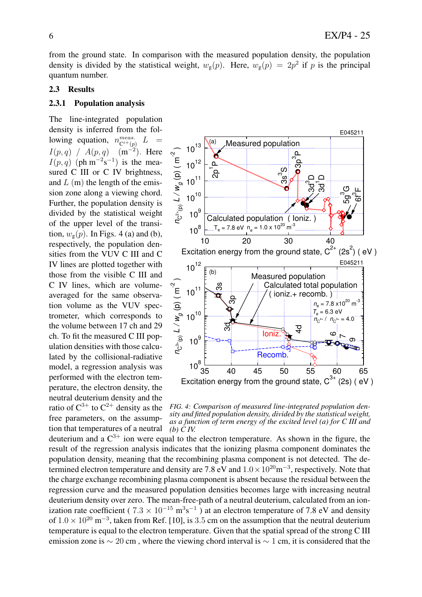from the ground state. In comparison with the measured population density, the population density is divided by the statistical weight,  $w_g(p)$ . Here,  $w_g(p) = 2p^2$  if p is the principal quantum number.

### 2.3 Results

#### 2.3.1 Population analysis

The line-integrated population density is inferred from the following equation, *n meas.*  $\mathrm{C}^{i+}(p)$  $L$  $I(p,q)$  /  $A(p,q)$  $(m^{-2})$ . Here  $I(p,q)$  (ph m<sup>-2</sup>s<sup>-1</sup>) is the measured C III or C IV brightness, and *L* (m) the length of the emission zone along a viewing chord. Further, the population density is divided by the statistical weight of the upper level of the transition,  $w_g(p)$ . In Figs. 4 (a) and (b), respectively, the population densities from the VUV C III and C IV lines are plotted together with those from the visible C III and C IV lines, which are volumeaveraged for the same observation volume as the VUV spectrometer, which corresponds to the volume between 17 ch and 29 ch. To fit the measured C III population densities with those calculated by the collisional-radiative model, a regression analysis was performed with the electron temperature, the electron density, the neutral deuterium density and the ratio of  $C^{3+}$  to  $C^{2+}$  density as the free parameters, on the assumption that temperatures of a neutral



*FIG. 4: Comparison of measured line-integrated population density and fitted population density, divided by the statistical weight, as a function of term energy of the excited level (a) for C III and (b) C IV.*

deuterium and a  $C^{3+}$  ion were equal to the electron temperature. As shown in the figure, the result of the regression analysis indicates that the ionizing plasma component dominates the population density, meaning that the recombining plasma component is not detected. The determined electron temperature and density are 7.8 eV and  $1.0 \times 10^{20}$  m<sup>-3</sup>, respectively. Note that the charge exchange recombining plasma component is absent because the residual between the regression curve and the measured population densities becomes large with increasing neutral deuterium density over zero. The mean-free-path of a neutral deuterium, calculated from an ionization rate coefficient (  $7.3 \times 10^{-15}$  m<sup>3</sup>s<sup>-1</sup>) at an electron temperature of 7.8 eV and density of  $1.0 \times 10^{20}$  m<sup>-3</sup>, taken from Ref. [10], is 3.5 cm on the assumption that the neutral deuterium temperature is equal to the electron temperature. Given that the spatial spread of the strong C III emission zone is *∼* 20 cm , where the viewing chord interval is *∼* 1 cm, it is considered that the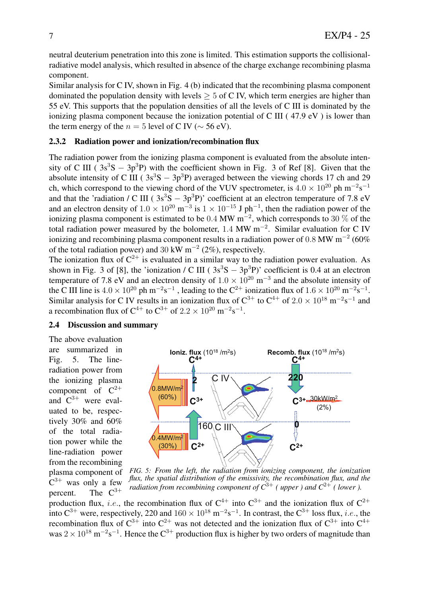neutral deuterium penetration into this zone is limited. This estimation supports the collisionalradiative model analysis, which resulted in absence of the charge exchange recombining plasma component.

Similar analysis for C IV, shown in Fig. 4 (b) indicated that the recombining plasma component dominated the population density with levels  $\geq 5$  of C IV, which term energies are higher than 55 eV. This supports that the population densities of all the levels of C III is dominated by the ionizing plasma component because the ionization potential of C III ( 47.9 eV ) is lower than the term energy of the  $n = 5$  level of C IV ( $\sim$  56 eV).

## 2.3.2 Radiation power and ionization/recombination flux

The radiation power from the ionizing plasma component is evaluated from the absolute intensity of C III ( $3s^3S - 3p^3P$ ) with the coefficient shown in Fig. 3 of Ref [8]. Given that the absolute intensity of C III ( $3s^3S - 3p^3P$ ) averaged between the viewing chords 17 ch and 29 ch, which correspond to the viewing chord of the VUV spectrometer, is  $4.0 \times 10^{20}$  ph m<sup>−2</sup>s<sup>-1</sup> and that the 'radiation / C III (  $3s^3S - 3p^3P$ )' coefficient at an electron temperature of 7.8 eV and an electron density of  $1.0 \times 10^{20}$  m<sup>-3</sup> is  $1 \times 10^{-15}$  J ph<sup>-1</sup>, then the radiation power of the ionizing plasma component is estimated to be 0*.*4 MW m*−*<sup>2</sup> , which corresponds to 30 % of the total radiation power measured by the bolometer, 1*.*4 MW m*−*<sup>2</sup> . Similar evaluation for C IV ionizing and recombining plasma component results in a radiation power of 0*.*8 MW m*−*<sup>2</sup> (60% of the total radiation power) and 30 kW m*−*<sup>2</sup> (2%), respectively.

The ionization flux of  $C^{2+}$  is evaluated in a similar way to the radiation power evaluation. As shown in Fig. 3 of [8], the 'ionization / C III ( $3s^3S - 3p^3P$ )' coefficient is 0.4 at an electron temperature of 7.8 eV and an electron density of  $1.0 \times 10^{20}$  m<sup>-3</sup> and the absolute intensity of the C III line is  $4.0 \times 10^{20}$  ph m<sup>-2</sup>s<sup>-1</sup>, leading to the C<sup>2+</sup> ionization flux of  $1.6 \times 10^{20}$  m<sup>-2</sup>s<sup>-1</sup>. Similar analysis for C IV results in an ionization flux of  $C^{3+}$  to  $C^{4+}$  of 2.0  $\times$  10<sup>18</sup> m<sup>−2</sup>s<sup>-1</sup> and a recombination flux of  $C^{4+}$  to  $C^{3+}$  of  $2.2 \times 10^{20}$  m<sup>-2</sup>s<sup>-1</sup>.

# 2.4 Discussion and summary

The above evaluation are summarized in Fig. 5. The lineradiation power from the ionizing plasma component of  $C^{2+}$ and  $C^{3+}$  were evaluated to be, respectively 30% and 60% of the total radiation power while the line-radiation power from the recombining plasma component of  $C^{3+}$  was only a few percent. The  $C^{3+}$ 



*FIG. 5: From the left, the radiation from ionizing component, the ionization flux, the spatial distribution of the emissivity, the recombination flux, and the radiation from recombining component of*  $C^{3+}$  *(upper ) and*  $C^{2+}$  *(lower).* 

production flux, *i.e.*, the recombination flux of  $C^{4+}$  into  $C^{3+}$  and the ionization flux of  $C^{2+}$ into  $C^{3+}$  were, respectively, 220 and  $160 \times 10^{18}$  m<sup>-2</sup>s<sup>-1</sup>. In contrast, the  $C^{3+}$  loss flux, *i.e.*, the recombination flux of  $C^{3+}$  into  $C^{2+}$  was not detected and the ionization flux of  $C^{3+}$  into  $C^{4+}$ was 2 × 10<sup>18</sup> m<sup>−2</sup>s<sup>−1</sup>. Hence the C<sup>3+</sup> production flux is higher by two orders of magnitude than